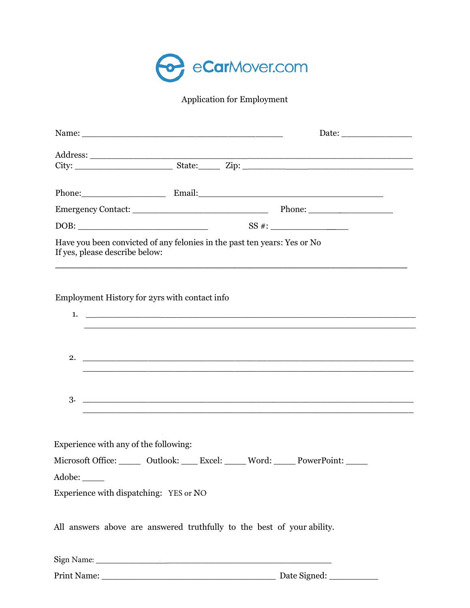

Application for Employment

|                                                                                                 |                                                                          | Phone: Email: Email: Email:                                                                                      |
|-------------------------------------------------------------------------------------------------|--------------------------------------------------------------------------|------------------------------------------------------------------------------------------------------------------|
|                                                                                                 |                                                                          |                                                                                                                  |
|                                                                                                 |                                                                          |                                                                                                                  |
| If yes, please describe below:                                                                  | Have you been convicted of any felonies in the past ten years: Yes or No | <u> 1990 - Jan James James James James James James James James James James James James James James James Jam</u> |
|                                                                                                 | Employment History for 2yrs with contact info                            |                                                                                                                  |
|                                                                                                 |                                                                          |                                                                                                                  |
|                                                                                                 |                                                                          |                                                                                                                  |
| Experience with any of the following:<br>Adobe: _____<br>Experience with dispatching: YES or NO |                                                                          | Microsoft Office: ______ Outlook: ____ Excel: _____ Word: _____ PowerPoint: _____                                |
|                                                                                                 | All answers above are answered truthfully to the best of your ability.   |                                                                                                                  |

Sign Name: \_\_\_\_\_\_\_\_\_\_\_\_\_\_\_\_\_\_\_\_\_\_\_\_\_\_\_\_\_\_\_\_\_\_\_\_\_\_\_\_\_\_\_\_\_\_\_\_\_\_\_\_

Print Name: \_\_\_\_\_\_\_\_\_\_\_\_\_\_\_\_\_\_\_\_\_\_\_\_\_\_\_\_\_\_\_\_ Date Signed: \_\_\_\_\_\_\_\_\_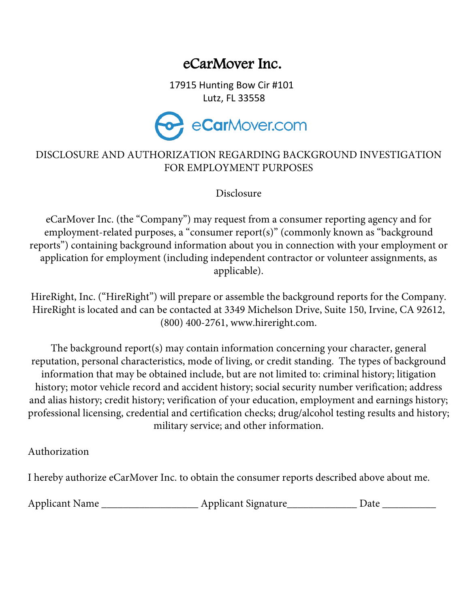# eCarMover Inc.

17915 Hunting Bow Cir #101 Lutz, FL 33558



### DISCLOSURE AND AUTHORIZATION REGARDING BACKGROUND INVESTIGATION FOR EMPLOYMENT PURPOSES

Disclosure

eCarMover Inc. (the "Company") may request from a consumer reporting agency and for employment-related purposes, a "consumer report(s)" (commonly known as "background reports") containing background information about you in connection with your employment or application for employment (including independent contractor or volunteer assignments, as applicable).

HireRight, Inc. ("HireRight") will prepare or assemble the background reports for the Company. HireRight is located and can be contacted at 3349 Michelson Drive, Suite 150, Irvine, CA 92612, (800) 400-2761, www.hireright.com.

The background report(s) may contain information concerning your character, general reputation, personal characteristics, mode of living, or credit standing. The types of background information that may be obtained include, but are not limited to: criminal history; litigation history; motor vehicle record and accident history; social security number verification; address and alias history; credit history; verification of your education, employment and earnings history; professional licensing, credential and certification checks; drug/alcohol testing results and history; military service; and other information.

Authorization

I hereby authorize eCarMover Inc. to obtain the consumer reports described above about me.

| <b>Applicant Name</b> | <b>Applicant Signature</b> |  |
|-----------------------|----------------------------|--|
|-----------------------|----------------------------|--|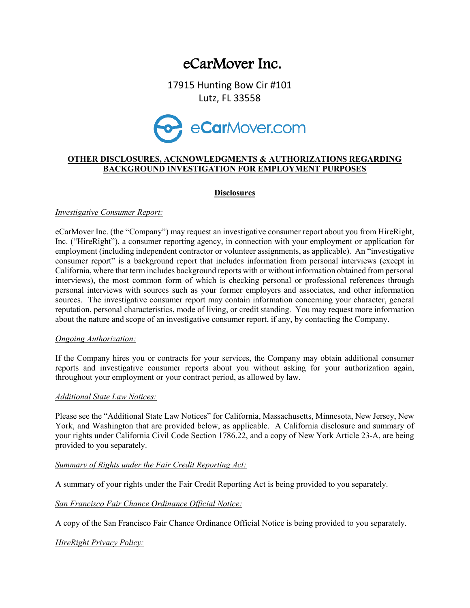## eCarMover Inc.

17915 Hunting Bow Cir #101 Lutz, FL 33558



#### OTHER DISCLOSURES, ACKNOWLEDGMENTS & AUTHORIZATIONS REGARDING BACKGROUND INVESTIGATION FOR EMPLOYMENT PURPOSES

#### **Disclosures**

#### Investigative Consumer Report:

eCarMover Inc. (the "Company") may request an investigative consumer report about you from HireRight, Inc. ("HireRight"), a consumer reporting agency, in connection with your employment or application for employment (including independent contractor or volunteer assignments, as applicable). An "investigative consumer report" is a background report that includes information from personal interviews (except in California, where that term includes background reports with or without information obtained from personal interviews), the most common form of which is checking personal or professional references through personal interviews with sources such as your former employers and associates, and other information sources. The investigative consumer report may contain information concerning your character, general reputation, personal characteristics, mode of living, or credit standing. You may request more information about the nature and scope of an investigative consumer report, if any, by contacting the Company.

#### Ongoing Authorization:

If the Company hires you or contracts for your services, the Company may obtain additional consumer reports and investigative consumer reports about you without asking for your authorization again, throughout your employment or your contract period, as allowed by law.

#### Additional State Law Notices:

Please see the "Additional State Law Notices" for California, Massachusetts, Minnesota, New Jersey, New York, and Washington that are provided below, as applicable. A California disclosure and summary of your rights under California Civil Code Section 1786.22, and a copy of New York Article 23-A, are being provided to you separately.

#### Summary of Rights under the Fair Credit Reporting Act:

A summary of your rights under the Fair Credit Reporting Act is being provided to you separately.

San Francisco Fair Chance Ordinance Official Notice:

A copy of the San Francisco Fair Chance Ordinance Official Notice is being provided to you separately.

#### HireRight Privacy Policy: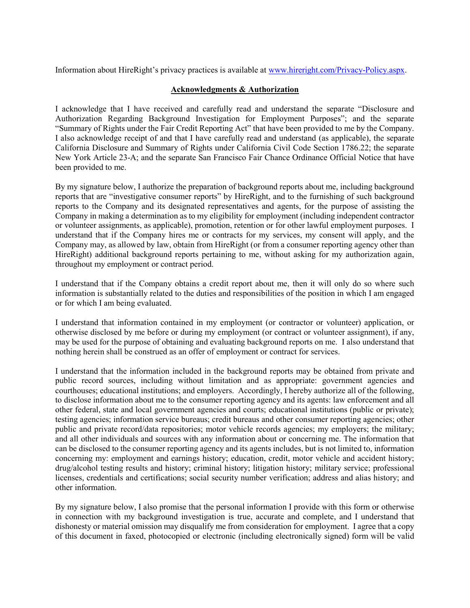Information about HireRight's privacy practices is available at www.hireright.com/Privacy-Policy.aspx.

#### Acknowledgments & Authorization

I acknowledge that I have received and carefully read and understand the separate "Disclosure and Authorization Regarding Background Investigation for Employment Purposes"; and the separate "Summary of Rights under the Fair Credit Reporting Act" that have been provided to me by the Company. I also acknowledge receipt of and that I have carefully read and understand (as applicable), the separate California Disclosure and Summary of Rights under California Civil Code Section 1786.22; the separate New York Article 23-A; and the separate San Francisco Fair Chance Ordinance Official Notice that have been provided to me.

By my signature below, I authorize the preparation of background reports about me, including background reports that are "investigative consumer reports" by HireRight, and to the furnishing of such background reports to the Company and its designated representatives and agents, for the purpose of assisting the Company in making a determination as to my eligibility for employment (including independent contractor or volunteer assignments, as applicable), promotion, retention or for other lawful employment purposes. I understand that if the Company hires me or contracts for my services, my consent will apply, and the Company may, as allowed by law, obtain from HireRight (or from a consumer reporting agency other than HireRight) additional background reports pertaining to me, without asking for my authorization again, throughout my employment or contract period.

I understand that if the Company obtains a credit report about me, then it will only do so where such information is substantially related to the duties and responsibilities of the position in which I am engaged or for which I am being evaluated.

I understand that information contained in my employment (or contractor or volunteer) application, or otherwise disclosed by me before or during my employment (or contract or volunteer assignment), if any, may be used for the purpose of obtaining and evaluating background reports on me. I also understand that nothing herein shall be construed as an offer of employment or contract for services.

I understand that the information included in the background reports may be obtained from private and public record sources, including without limitation and as appropriate: government agencies and courthouses; educational institutions; and employers. Accordingly, I hereby authorize all of the following, to disclose information about me to the consumer reporting agency and its agents: law enforcement and all other federal, state and local government agencies and courts; educational institutions (public or private); testing agencies; information service bureaus; credit bureaus and other consumer reporting agencies; other public and private record/data repositories; motor vehicle records agencies; my employers; the military; and all other individuals and sources with any information about or concerning me. The information that can be disclosed to the consumer reporting agency and its agents includes, but is not limited to, information concerning my: employment and earnings history; education, credit, motor vehicle and accident history; drug/alcohol testing results and history; criminal history; litigation history; military service; professional licenses, credentials and certifications; social security number verification; address and alias history; and other information.

By my signature below, I also promise that the personal information I provide with this form or otherwise in connection with my background investigation is true, accurate and complete, and I understand that dishonesty or material omission may disqualify me from consideration for employment. I agree that a copy of this document in faxed, photocopied or electronic (including electronically signed) form will be valid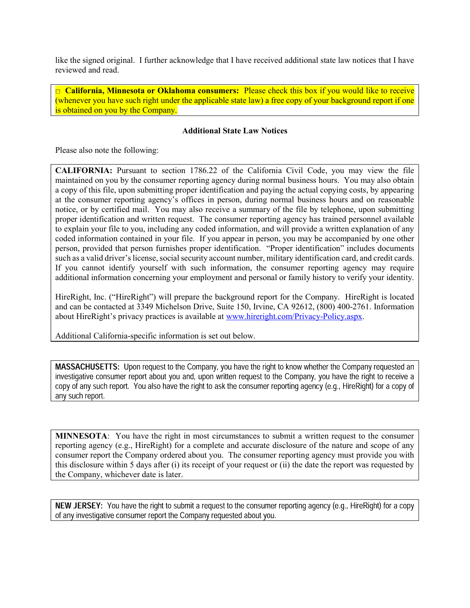like the signed original. I further acknowledge that I have received additional state law notices that I have reviewed and read.

 $\Box$  California, Minnesota or Oklahoma consumers: Please check this box if you would like to receive (whenever you have such right under the applicable state law) a free copy of your background report if one is obtained on you by the Company.

#### Additional State Law Notices

Please also note the following:

CALIFORNIA: Pursuant to section 1786.22 of the California Civil Code, you may view the file maintained on you by the consumer reporting agency during normal business hours. You may also obtain a copy of this file, upon submitting proper identification and paying the actual copying costs, by appearing at the consumer reporting agency's offices in person, during normal business hours and on reasonable notice, or by certified mail. You may also receive a summary of the file by telephone, upon submitting proper identification and written request. The consumer reporting agency has trained personnel available to explain your file to you, including any coded information, and will provide a written explanation of any coded information contained in your file. If you appear in person, you may be accompanied by one other person, provided that person furnishes proper identification. "Proper identification" includes documents such as a valid driver's license, social security account number, military identification card, and credit cards. If you cannot identify yourself with such information, the consumer reporting agency may require additional information concerning your employment and personal or family history to verify your identity.

HireRight, Inc. ("HireRight") will prepare the background report for the Company. HireRight is located and can be contacted at 3349 Michelson Drive, Suite 150, Irvine, CA 92612, (800) 400-2761. Information about HireRight's privacy practices is available at www.hireright.com/Privacy-Policy.aspx.

Additional California-specific information is set out below.

MASSACHUSETTS: Upon request to the Company, you have the right to know whether the Company requested an investigative consumer report about you and, upon written request to the Company, you have the right to receive a copy of any such report. You also have the right to ask the consumer reporting agency (e.g., HireRight) for a copy of any such report.

MINNESOTA: You have the right in most circumstances to submit a written request to the consumer reporting agency (e.g., HireRight) for a complete and accurate disclosure of the nature and scope of any consumer report the Company ordered about you. The consumer reporting agency must provide you with this disclosure within 5 days after (i) its receipt of your request or (ii) the date the report was requested by the Company, whichever date is later.

NEW JERSEY: You have the right to submit a request to the consumer reporting agency (e.g., HireRight) for a copy of any investigative consumer report the Company requested about you.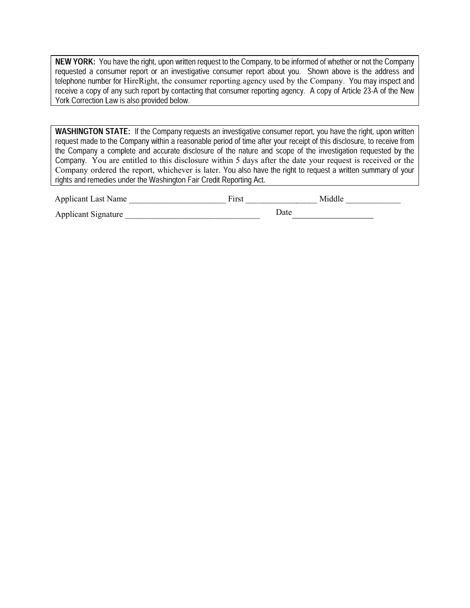NEW YORK: You have the right, upon written request to the Company, to be informed of whether or not the Company requested a consumer report or an investigative consumer report about you. Shown above is the address and telephone number for HireRight, the consumer reporting agency used by the Company. You may inspect and<br>receive a copy of any such report by contacting that consumer reporting agency. A copy of Article 23-A of the New York Correction Law is also provided below.

WASHINGTON STATE: If the Company requests an investigative consumer report, you have the right, upon written request made to the Company within a reasonable period of time after your receipt of this disclosure, to receive from the Company a complete and accurate disclosure of the nature and scope of the investigation requested by the Company. You are entitled to this disclosure within 5 days after the date your request is received or the Company ordered the report, whichever is later. You also have the right to request a written summary of your rights and remedies under the Washington Fair Credit Reporting Act.

| <b>Applicant Last Name</b> | First |      | Middle |
|----------------------------|-------|------|--------|
| <b>Applicant Signature</b> |       | Date |        |